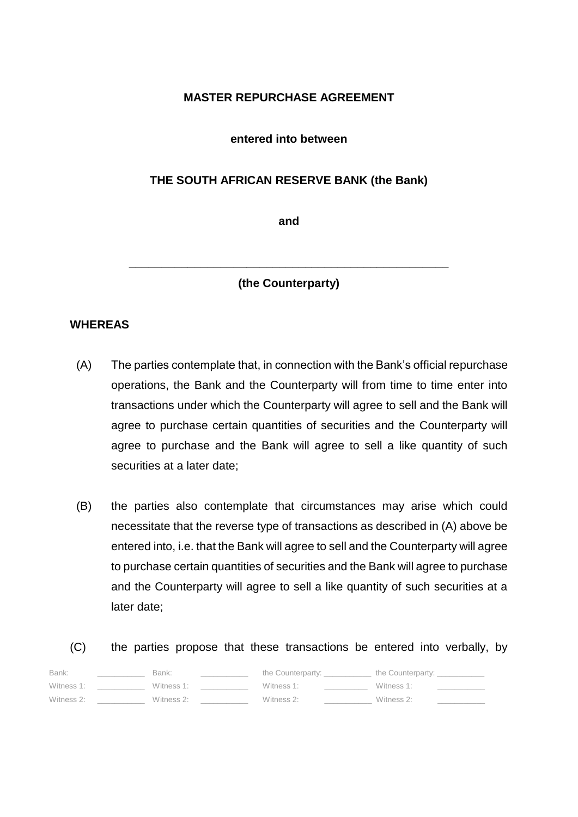# **MASTER REPURCHASE AGREEMENT**

## **entered into between**

## **THE SOUTH AFRICAN RESERVE BANK (the Bank)**

**and**

**(the Counterparty)**

**\_\_\_\_\_\_\_\_\_\_\_\_\_\_\_\_\_\_\_\_\_\_\_\_\_\_\_\_\_\_\_\_\_\_\_\_\_\_\_\_\_\_\_\_\_\_\_\_\_**

## **WHEREAS**

- (A) The parties contemplate that, in connection with the Bank's official repurchase operations, the Bank and the Counterparty will from time to time enter into transactions under which the Counterparty will agree to sell and the Bank will agree to purchase certain quantities of securities and the Counterparty will agree to purchase and the Bank will agree to sell a like quantity of such securities at a later date;
- (B) the parties also contemplate that circumstances may arise which could necessitate that the reverse type of transactions as described in (A) above be entered into, i.e. that the Bank will agree to sell and the Counterparty will agree to purchase certain quantities of securities and the Bank will agree to purchase and the Counterparty will agree to sell a like quantity of such securities at a later date;

(C) the parties propose that these transactions be entered into verbally, by

| Bank:      | Bank:      | the Counterparty: | the Counterparty: |
|------------|------------|-------------------|-------------------|
| Witness 1: | Witness 1: | Witness 1:        | Witness 1:        |
| Witness 2: | Witness 2: | Witness 2:        | Witness 2:        |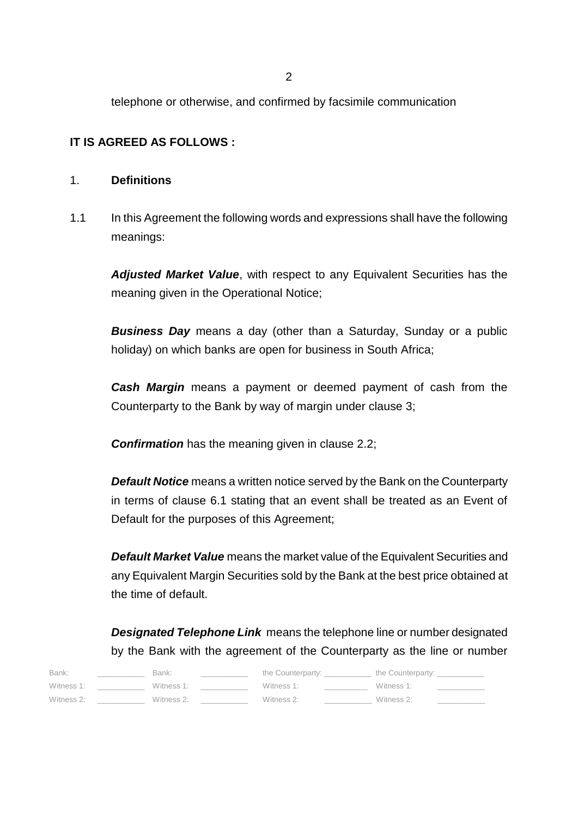2

telephone or otherwise, and confirmed by facsimile communication

# **IT IS AGREED AS FOLLOWS :**

# 1. **Definitions**

1.1 In this Agreement the following words and expressions shall have the following meanings:

*Adjusted Market Value*, with respect to any Equivalent Securities has the meaning given in the Operational Notice;

*Business Day* means a day (other than a Saturday, Sunday or a public holiday) on which banks are open for business in South Africa;

*Cash Margin* means a payment or deemed payment of cash from the Counterparty to the Bank by way of margin under clause 3;

**Confirmation** has the meaning given in clause 2.2;

*Default Notice* means a written notice served by the Bank on the Counterparty in terms of clause 6.1 stating that an event shall be treated as an Event of Default for the purposes of this Agreement;

*Default Market Value* means the market value of the Equivalent Securities and any Equivalent Margin Securities sold by the Bank at the best price obtained at the time of default.

*Designated Telephone Link* means the telephone line or number designated by the Bank with the agreement of the Counterparty as the line or number

| Bank:      | Bank:      | the Counterparty: | the Counterparty: |  |
|------------|------------|-------------------|-------------------|--|
| Witness 1: | Witness 1: | Witness 1:        | Witness 1:        |  |
| Witness 2: | Witness 2: | Witness 2:        | Witness 2:        |  |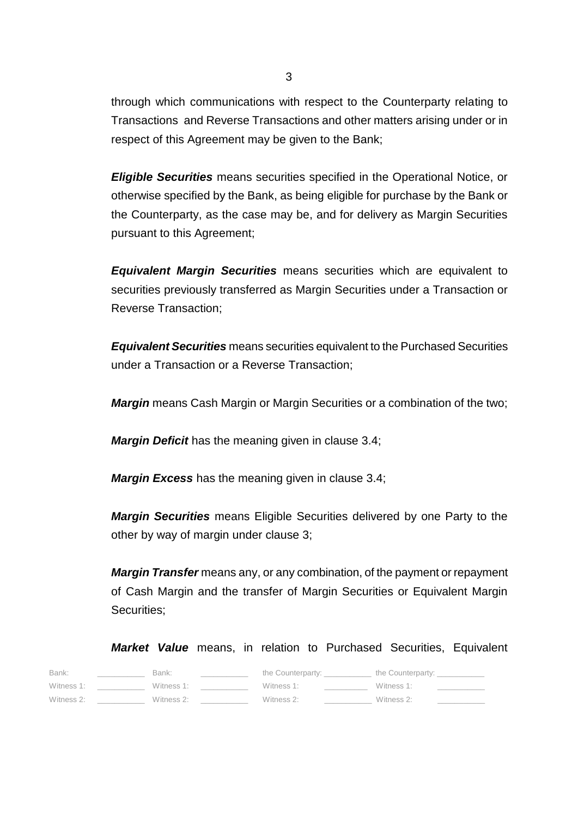through which communications with respect to the Counterparty relating to Transactions and Reverse Transactions and other matters arising under or in respect of this Agreement may be given to the Bank;

*Eligible Securities* means securities specified in the Operational Notice, or otherwise specified by the Bank, as being eligible for purchase by the Bank or the Counterparty, as the case may be, and for delivery as Margin Securities pursuant to this Agreement;

*Equivalent Margin Securities* means securities which are equivalent to securities previously transferred as Margin Securities under a Transaction or Reverse Transaction;

*Equivalent Securities* means securities equivalent to the Purchased Securities under a Transaction or a Reverse Transaction;

*Margin* means Cash Margin or Margin Securities or a combination of the two;

*Margin Deficit* has the meaning given in clause 3.4;

*Margin Excess* has the meaning given in clause 3.4;

*Margin Securities* means Eligible Securities delivered by one Party to the other by way of margin under clause 3;

*Margin Transfer* means any, or any combination, of the payment or repayment of Cash Margin and the transfer of Margin Securities or Equivalent Margin Securities;

*Market Value* means, in relation to Purchased Securities, Equivalent

| Bank:      | Bank:      | the Counterparty: | the Counterparty: |  |
|------------|------------|-------------------|-------------------|--|
| Witness 1: | Witness 1: | Witness 1:        | Witness 1:        |  |
| Witness 2: | Witness 2: | Witness 2:        | Witness 2:        |  |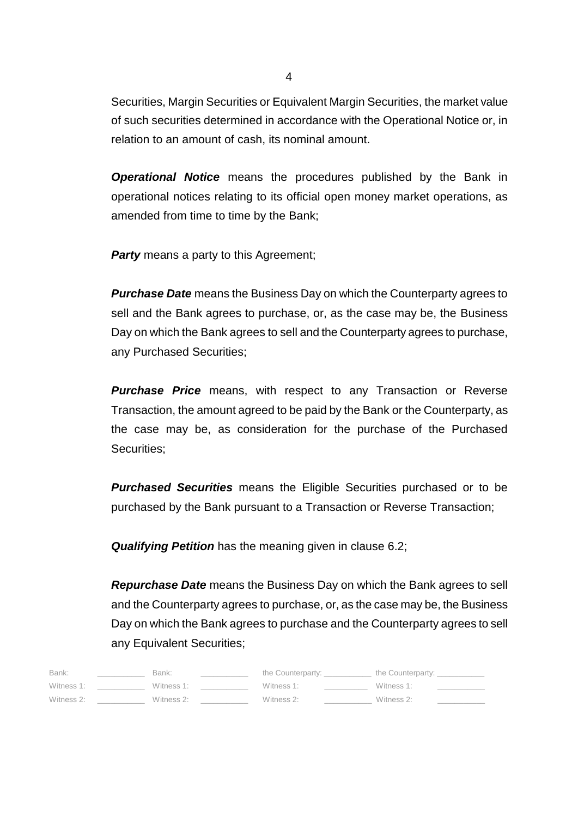Securities, Margin Securities or Equivalent Margin Securities, the market value of such securities determined in accordance with the Operational Notice or, in relation to an amount of cash, its nominal amount.

*Operational Notice* means the procedures published by the Bank in operational notices relating to its official open money market operations, as amended from time to time by the Bank;

**Party** means a party to this Agreement;

*Purchase Date* means the Business Day on which the Counterparty agrees to sell and the Bank agrees to purchase, or, as the case may be, the Business Day on which the Bank agrees to sell and the Counterparty agrees to purchase, any Purchased Securities;

*Purchase Price* means, with respect to any Transaction or Reverse Transaction, the amount agreed to be paid by the Bank or the Counterparty, as the case may be, as consideration for the purchase of the Purchased Securities;

*Purchased Securities* means the Eligible Securities purchased or to be purchased by the Bank pursuant to a Transaction or Reverse Transaction;

*Qualifying Petition* has the meaning given in clause 6.2;

*Repurchase Date* means the Business Day on which the Bank agrees to sell and the Counterparty agrees to purchase, or, as the case may be, the Business Day on which the Bank agrees to purchase and the Counterparty agrees to sell any Equivalent Securities;

| Bank:      | Bank:      | the Counterparty: | the Counterparty: |  |
|------------|------------|-------------------|-------------------|--|
| Witness 1: | Witness 1: | Witness 1:        | Witness 1:        |  |
| Witness 2: | Witness 2: | Witness 2:        | Witness 2:        |  |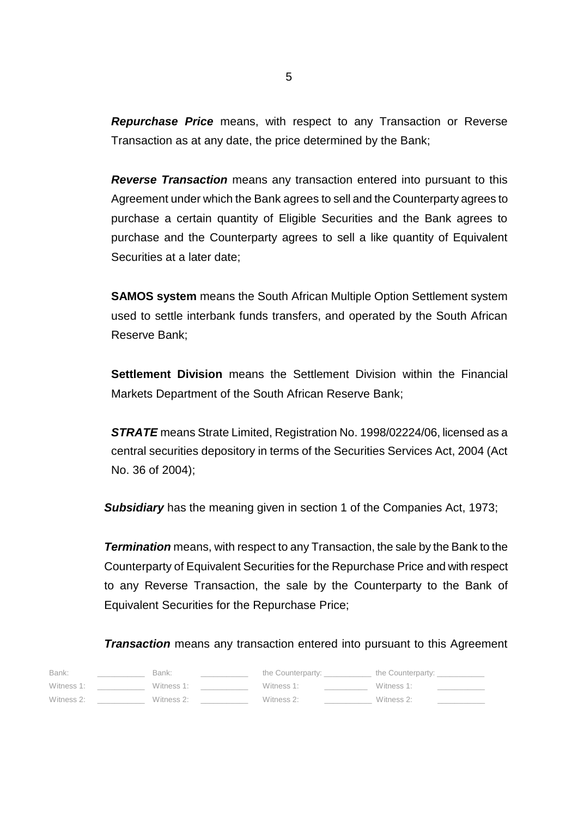*Repurchase Price* means, with respect to any Transaction or Reverse Transaction as at any date, the price determined by the Bank;

*Reverse Transaction* means any transaction entered into pursuant to this Agreement under which the Bank agrees to sell and the Counterparty agrees to purchase a certain quantity of Eligible Securities and the Bank agrees to purchase and the Counterparty agrees to sell a like quantity of Equivalent Securities at a later date;

**SAMOS system** means the South African Multiple Option Settlement system used to settle interbank funds transfers, and operated by the South African Reserve Bank;

**Settlement Division** means the Settlement Division within the Financial Markets Department of the South African Reserve Bank;

*STRATE* means Strate Limited, Registration No. 1998/02224/06, licensed as a central securities depository in terms of the Securities Services Act, 2004 (Act No. 36 of 2004);

**Subsidiary** has the meaning given in section 1 of the Companies Act, 1973;

*Termination* means, with respect to any Transaction, the sale by the Bank to the Counterparty of Equivalent Securities for the Repurchase Price and with respect to any Reverse Transaction, the sale by the Counterparty to the Bank of Equivalent Securities for the Repurchase Price;

*Transaction* means any transaction entered into pursuant to this Agreement

| Bank:      | Bank:      | the Counterparty: | the Counterparty: |  |
|------------|------------|-------------------|-------------------|--|
| Witness 1: | Witness 1: | Witness 1:        | Witness 1:        |  |
| Witness 2: | Witness 2: | Witness 2:        | Witness 2:        |  |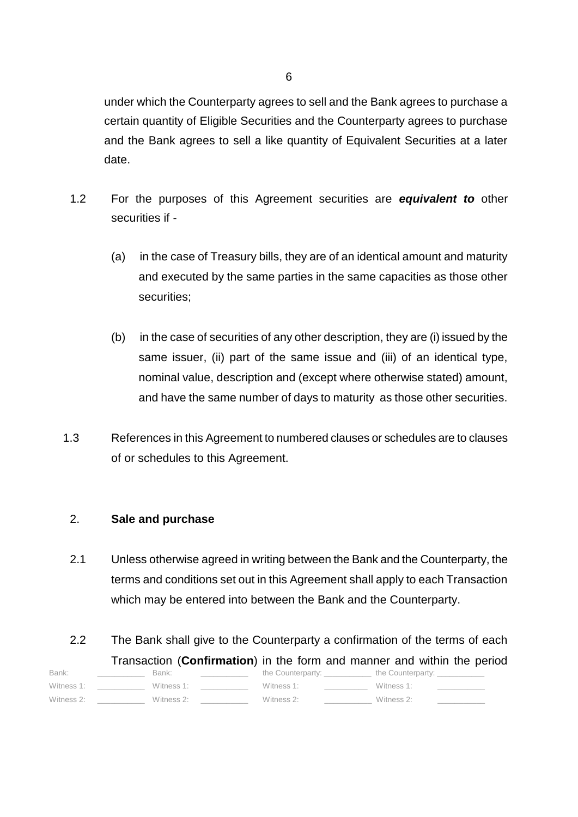under which the Counterparty agrees to sell and the Bank agrees to purchase a certain quantity of Eligible Securities and the Counterparty agrees to purchase and the Bank agrees to sell a like quantity of Equivalent Securities at a later date.

- 1.2 For the purposes of this Agreement securities are *equivalent to* other securities if -
	- (a) in the case of Treasury bills, they are of an identical amount and maturity and executed by the same parties in the same capacities as those other securities;
	- (b) in the case of securities of any other description, they are (i) issued by the same issuer, (ii) part of the same issue and (iii) of an identical type, nominal value, description and (except where otherwise stated) amount, and have the same number of days to maturity as those other securities.
- 1.3 References in this Agreement to numbered clauses or schedules are to clauses of or schedules to this Agreement.

# 2. **Sale and purchase**

- 2.1 Unless otherwise agreed in writing between the Bank and the Counterparty, the terms and conditions set out in this Agreement shall apply to each Transaction which may be entered into between the Bank and the Counterparty.
- 2.2 The Bank shall give to the Counterparty a confirmation of the terms of each Transaction (**Confirmation**) in the form and manner and within the period

| Bank:      | Bank:      | the Counterparty: | the Counterparty: |  |
|------------|------------|-------------------|-------------------|--|
| Witness 1: | Witness 1: | Witness 1:        | Witness 1:        |  |
| Witness 2: | Witness 2: | Witness 2:        | Witness 2:        |  |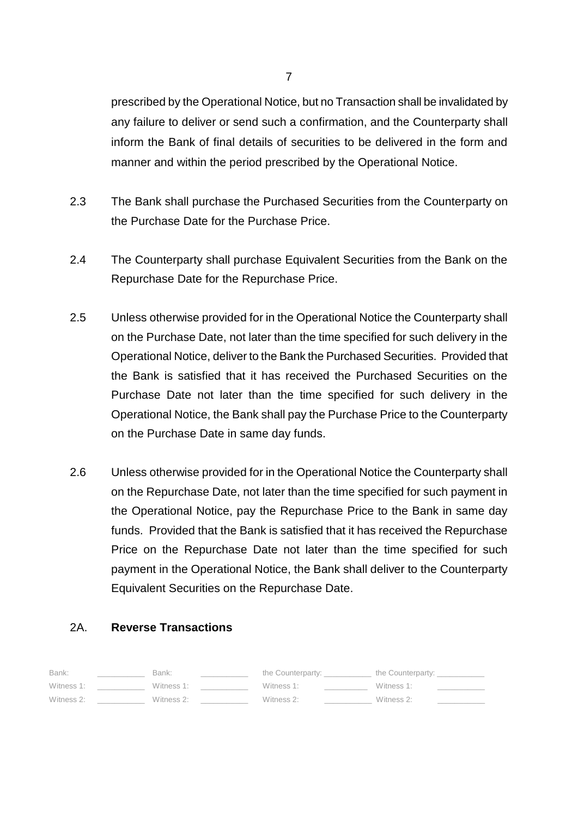prescribed by the Operational Notice, but no Transaction shall be invalidated by any failure to deliver or send such a confirmation, and the Counterparty shall inform the Bank of final details of securities to be delivered in the form and manner and within the period prescribed by the Operational Notice.

- 2.3 The Bank shall purchase the Purchased Securities from the Counterparty on the Purchase Date for the Purchase Price.
- 2.4 The Counterparty shall purchase Equivalent Securities from the Bank on the Repurchase Date for the Repurchase Price.
- 2.5 Unless otherwise provided for in the Operational Notice the Counterparty shall on the Purchase Date, not later than the time specified for such delivery in the Operational Notice, deliver to the Bank the Purchased Securities. Provided that the Bank is satisfied that it has received the Purchased Securities on the Purchase Date not later than the time specified for such delivery in the Operational Notice, the Bank shall pay the Purchase Price to the Counterparty on the Purchase Date in same day funds.
- 2.6 Unless otherwise provided for in the Operational Notice the Counterparty shall on the Repurchase Date, not later than the time specified for such payment in the Operational Notice, pay the Repurchase Price to the Bank in same day funds. Provided that the Bank is satisfied that it has received the Repurchase Price on the Repurchase Date not later than the time specified for such payment in the Operational Notice, the Bank shall deliver to the Counterparty Equivalent Securities on the Repurchase Date.

# 2A. **Reverse Transactions**

| Bank:      | Bank:      | the Counterparty: | the Counterparty: |
|------------|------------|-------------------|-------------------|
| Witness 1: | Witness 1: | Witness 1:        | Witness 1:        |
| Witness 2: | Witness 2: | Witness 2:        | Witness 2:        |

7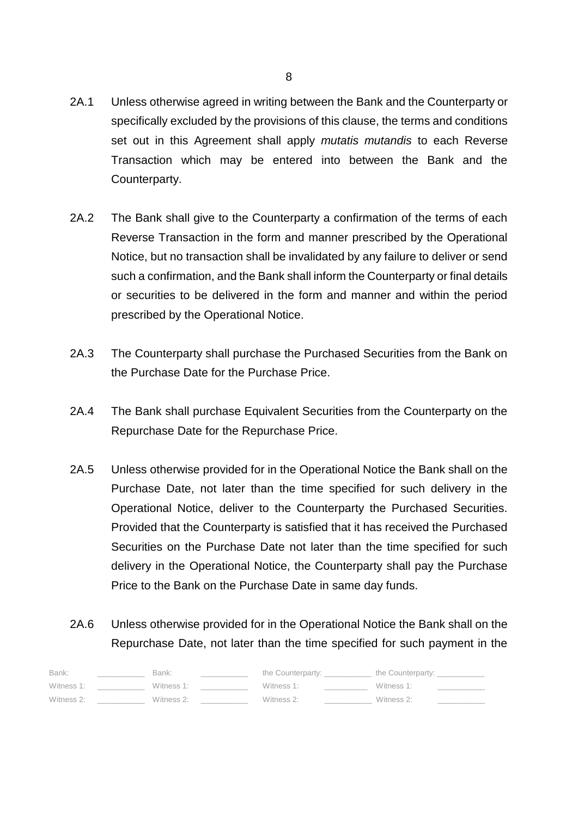- 2A.1 Unless otherwise agreed in writing between the Bank and the Counterparty or specifically excluded by the provisions of this clause, the terms and conditions set out in this Agreement shall apply *mutatis mutandis* to each Reverse Transaction which may be entered into between the Bank and the Counterparty.
- 2A.2 The Bank shall give to the Counterparty a confirmation of the terms of each Reverse Transaction in the form and manner prescribed by the Operational Notice, but no transaction shall be invalidated by any failure to deliver or send such a confirmation, and the Bank shall inform the Counterparty or final details or securities to be delivered in the form and manner and within the period prescribed by the Operational Notice.
- 2A.3 The Counterparty shall purchase the Purchased Securities from the Bank on the Purchase Date for the Purchase Price.
- 2A.4 The Bank shall purchase Equivalent Securities from the Counterparty on the Repurchase Date for the Repurchase Price.
- 2A.5 Unless otherwise provided for in the Operational Notice the Bank shall on the Purchase Date, not later than the time specified for such delivery in the Operational Notice, deliver to the Counterparty the Purchased Securities. Provided that the Counterparty is satisfied that it has received the Purchased Securities on the Purchase Date not later than the time specified for such delivery in the Operational Notice, the Counterparty shall pay the Purchase Price to the Bank on the Purchase Date in same day funds.
- 2A.6 Unless otherwise provided for in the Operational Notice the Bank shall on the Repurchase Date, not later than the time specified for such payment in the

| Bank:      | Bank:      | the Counterparty: | the Counterparty: |
|------------|------------|-------------------|-------------------|
| Witness 1: | Witness 1: | Witness 1:        | Witness 1:        |
| Witness 2: | Witness 2: | Witness 2:        | Witness 2:        |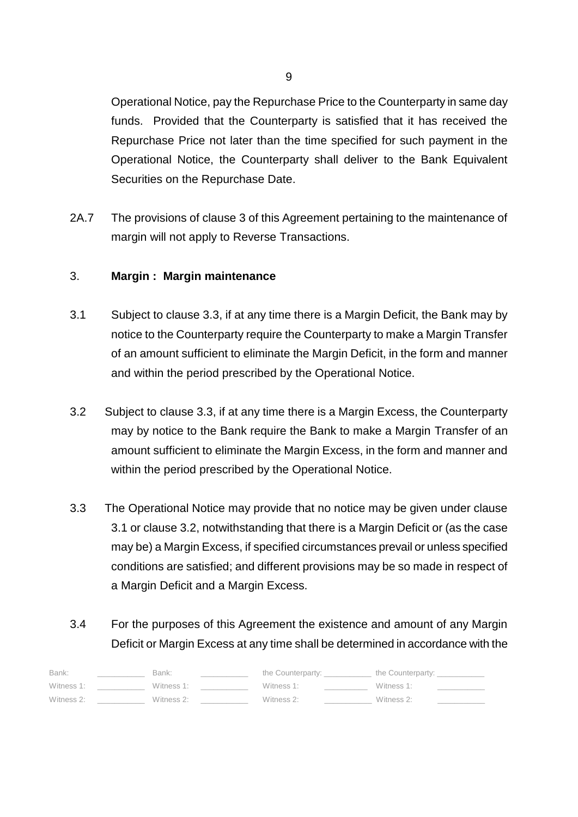Operational Notice, pay the Repurchase Price to the Counterparty in same day funds. Provided that the Counterparty is satisfied that it has received the Repurchase Price not later than the time specified for such payment in the Operational Notice, the Counterparty shall deliver to the Bank Equivalent Securities on the Repurchase Date.

2A.7 The provisions of clause 3 of this Agreement pertaining to the maintenance of margin will not apply to Reverse Transactions.

# 3. **Margin : Margin maintenance**

- 3.1 Subject to clause 3.3, if at any time there is a Margin Deficit, the Bank may by notice to the Counterparty require the Counterparty to make a Margin Transfer of an amount sufficient to eliminate the Margin Deficit, in the form and manner and within the period prescribed by the Operational Notice.
- 3.2 Subject to clause 3.3, if at any time there is a Margin Excess, the Counterparty may by notice to the Bank require the Bank to make a Margin Transfer of an amount sufficient to eliminate the Margin Excess, in the form and manner and within the period prescribed by the Operational Notice.
- 3.3 The Operational Notice may provide that no notice may be given under clause 3.1 or clause 3.2, notwithstanding that there is a Margin Deficit or (as the case may be) a Margin Excess, if specified circumstances prevail or unless specified conditions are satisfied; and different provisions may be so made in respect of a Margin Deficit and a Margin Excess.

# 3.4 For the purposes of this Agreement the existence and amount of any Margin Deficit or Margin Excess at any time shall be determined in accordance with the

| Bank:      | Bank:      | the Counterparty: | the Counterparty: |  |
|------------|------------|-------------------|-------------------|--|
| Witness 1: | Witness 1: | Witness 1:        | Witness 1:        |  |
| Witness 2: | Witness 2: | Witness 2:        | Witness 2:        |  |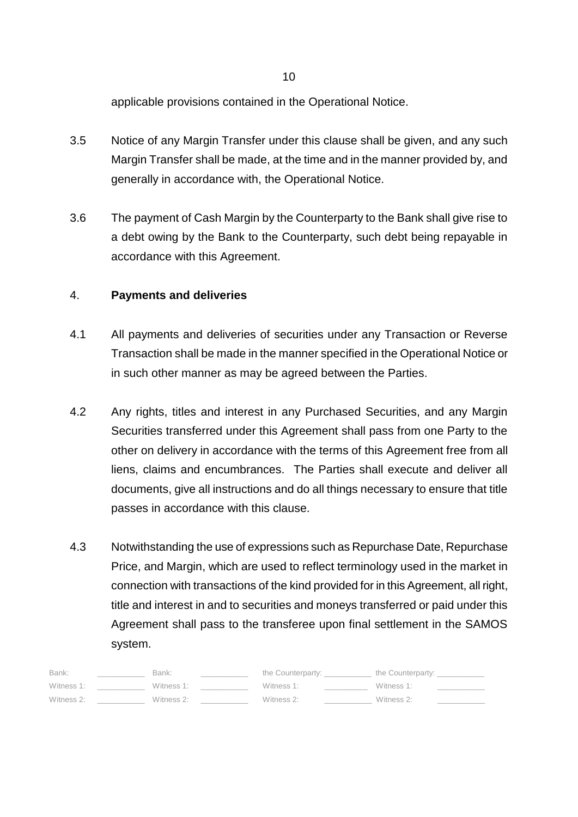applicable provisions contained in the Operational Notice.

- 3.5 Notice of any Margin Transfer under this clause shall be given, and any such Margin Transfer shall be made, at the time and in the manner provided by, and generally in accordance with, the Operational Notice.
- 3.6 The payment of Cash Margin by the Counterparty to the Bank shall give rise to a debt owing by the Bank to the Counterparty, such debt being repayable in accordance with this Agreement.

# 4. **Payments and deliveries**

- 4.1 All payments and deliveries of securities under any Transaction or Reverse Transaction shall be made in the manner specified in the Operational Notice or in such other manner as may be agreed between the Parties.
- 4.2 Any rights, titles and interest in any Purchased Securities, and any Margin Securities transferred under this Agreement shall pass from one Party to the other on delivery in accordance with the terms of this Agreement free from all liens, claims and encumbrances. The Parties shall execute and deliver all documents, give all instructions and do all things necessary to ensure that title passes in accordance with this clause.
- 4.3 Notwithstanding the use of expressions such as Repurchase Date, Repurchase Price, and Margin, which are used to reflect terminology used in the market in connection with transactions of the kind provided for in this Agreement, all right, title and interest in and to securities and moneys transferred or paid under this Agreement shall pass to the transferee upon final settlement in the SAMOS system.

| Bank:      | Bank:      | the Counterparty: | the Counterparty: |
|------------|------------|-------------------|-------------------|
| Witness 1: | Witness 1: | Witness 1:        | Witness 1:        |
| Witness 2: | Witness 2: | Witness 2:        | Witness 2:        |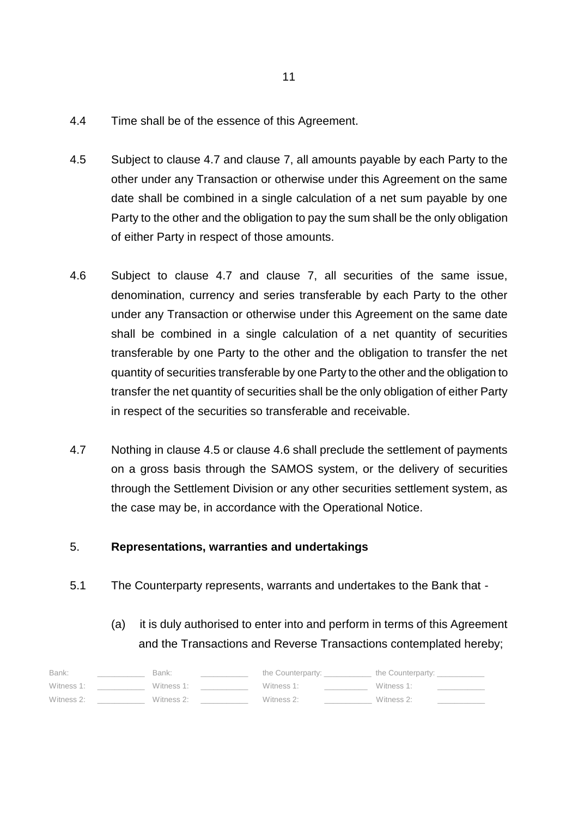- 4.4 Time shall be of the essence of this Agreement.
- 4.5 Subject to clause 4.7 and clause 7, all amounts payable by each Party to the other under any Transaction or otherwise under this Agreement on the same date shall be combined in a single calculation of a net sum payable by one Party to the other and the obligation to pay the sum shall be the only obligation of either Party in respect of those amounts.
- 4.6 Subject to clause 4.7 and clause 7, all securities of the same issue, denomination, currency and series transferable by each Party to the other under any Transaction or otherwise under this Agreement on the same date shall be combined in a single calculation of a net quantity of securities transferable by one Party to the other and the obligation to transfer the net quantity of securities transferable by one Party to the other and the obligation to transfer the net quantity of securities shall be the only obligation of either Party in respect of the securities so transferable and receivable.
- 4.7 Nothing in clause 4.5 or clause 4.6 shall preclude the settlement of payments on a gross basis through the SAMOS system, or the delivery of securities through the Settlement Division or any other securities settlement system, as the case may be, in accordance with the Operational Notice.

# 5. **Representations, warranties and undertakings**

- 5.1 The Counterparty represents, warrants and undertakes to the Bank that
	- (a) it is duly authorised to enter into and perform in terms of this Agreement and the Transactions and Reverse Transactions contemplated hereby;

| Bank:      | Bank:      | the Counterparty: | the Counterparty: |  |
|------------|------------|-------------------|-------------------|--|
| Witness 1: | Witness 1: | Witness 1:        | Witness 1:        |  |
| Witness 2: | Witness 2: | Witness 2:        | Witness 2:        |  |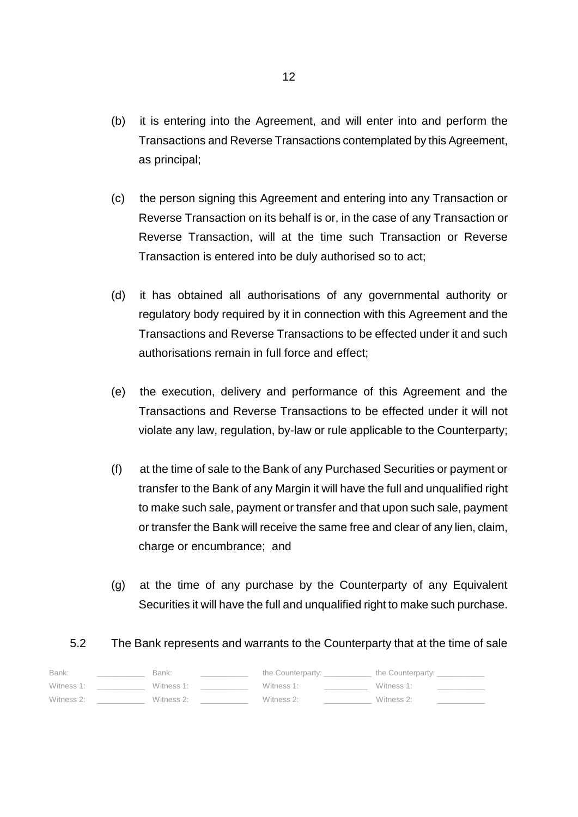- (b) it is entering into the Agreement, and will enter into and perform the Transactions and Reverse Transactions contemplated by this Agreement, as principal;
- (c) the person signing this Agreement and entering into any Transaction or Reverse Transaction on its behalf is or, in the case of any Transaction or Reverse Transaction, will at the time such Transaction or Reverse Transaction is entered into be duly authorised so to act;
- (d) it has obtained all authorisations of any governmental authority or regulatory body required by it in connection with this Agreement and the Transactions and Reverse Transactions to be effected under it and such authorisations remain in full force and effect;
- (e) the execution, delivery and performance of this Agreement and the Transactions and Reverse Transactions to be effected under it will not violate any law, regulation, by-law or rule applicable to the Counterparty;
- (f) at the time of sale to the Bank of any Purchased Securities or payment or transfer to the Bank of any Margin it will have the full and unqualified right to make such sale, payment or transfer and that upon such sale, payment or transfer the Bank will receive the same free and clear of any lien, claim, charge or encumbrance; and
- (g) at the time of any purchase by the Counterparty of any Equivalent Securities it will have the full and unqualified right to make such purchase.

# 5.2 The Bank represents and warrants to the Counterparty that at the time of sale

| Bank:      | Bank:      | the Counterparty: | the Counterparty: |  |
|------------|------------|-------------------|-------------------|--|
| Witness 1: | Witness 1: | Witness 1:        | Witness 1:        |  |
| Witness 2: | Witness 2: | Witness 2:        | Witness 2:        |  |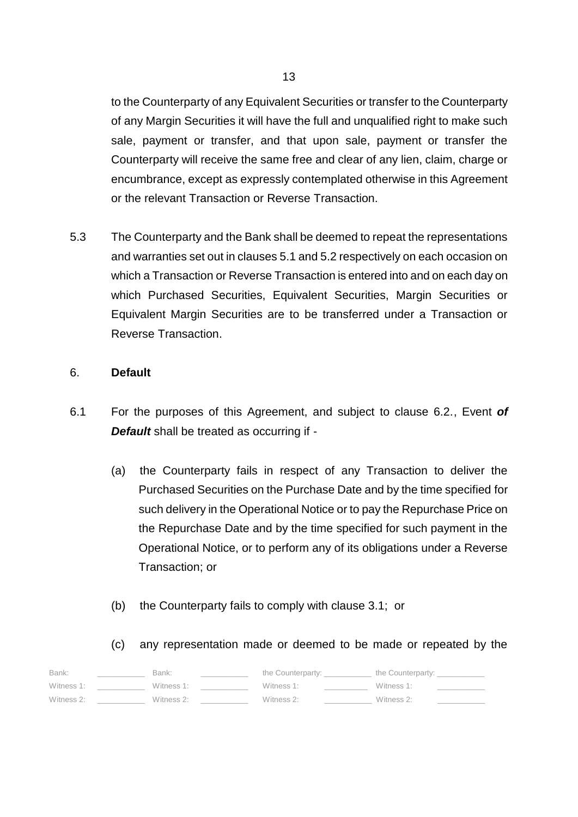to the Counterparty of any Equivalent Securities or transfer to the Counterparty of any Margin Securities it will have the full and unqualified right to make such sale, payment or transfer, and that upon sale, payment or transfer the Counterparty will receive the same free and clear of any lien, claim, charge or encumbrance, except as expressly contemplated otherwise in this Agreement or the relevant Transaction or Reverse Transaction.

5.3 The Counterparty and the Bank shall be deemed to repeat the representations and warranties set out in clauses 5.1 and 5.2 respectively on each occasion on which a Transaction or Reverse Transaction is entered into and on each day on which Purchased Securities, Equivalent Securities, Margin Securities or Equivalent Margin Securities are to be transferred under a Transaction or Reverse Transaction.

## 6. **Default**

- 6.1 For the purposes of this Agreement, and subject to clause 6.2., Event *of Default* shall be treated as occurring if -
	- (a) the Counterparty fails in respect of any Transaction to deliver the Purchased Securities on the Purchase Date and by the time specified for such delivery in the Operational Notice or to pay the Repurchase Price on the Repurchase Date and by the time specified for such payment in the Operational Notice, or to perform any of its obligations under a Reverse Transaction; or
	- (b) the Counterparty fails to comply with clause 3.1; or

(c) any representation made or deemed to be made or repeated by the

| Bank:      | Bank:      | the Counterparty: | the Counterparty: |
|------------|------------|-------------------|-------------------|
| Witness 1: | Witness 1: | Witness 1:        | Witness 1:        |
| Witness 2: | Witness 2: | Witness 2:        | Witness 2:        |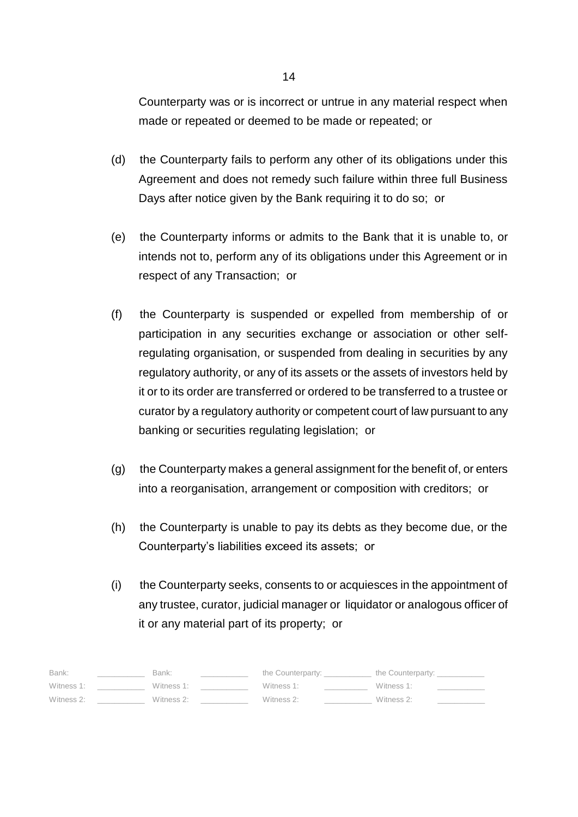Counterparty was or is incorrect or untrue in any material respect when made or repeated or deemed to be made or repeated; or

- (d) the Counterparty fails to perform any other of its obligations under this Agreement and does not remedy such failure within three full Business Days after notice given by the Bank requiring it to do so; or
- (e) the Counterparty informs or admits to the Bank that it is unable to, or intends not to, perform any of its obligations under this Agreement or in respect of any Transaction; or
- (f) the Counterparty is suspended or expelled from membership of or participation in any securities exchange or association or other selfregulating organisation, or suspended from dealing in securities by any regulatory authority, or any of its assets or the assets of investors held by it or to its order are transferred or ordered to be transferred to a trustee or curator by a regulatory authority or competent court of law pursuant to any banking or securities regulating legislation; or
- (g) the Counterparty makes a general assignment for the benefit of, or enters into a reorganisation, arrangement or composition with creditors; or
- (h) the Counterparty is unable to pay its debts as they become due, or the Counterparty's liabilities exceed its assets; or
- (i) the Counterparty seeks, consents to or acquiesces in the appointment of any trustee, curator, judicial manager or liquidator or analogous officer of it or any material part of its property; or

| Bank:      | Bank:      | the Counterparty: | the Counterparty: |
|------------|------------|-------------------|-------------------|
| Witness 1: | Witness 1: | Witness 1:        | Witness 1:        |
| Witness 2: | Witness 2: | Witness 2:        | Witness 2:        |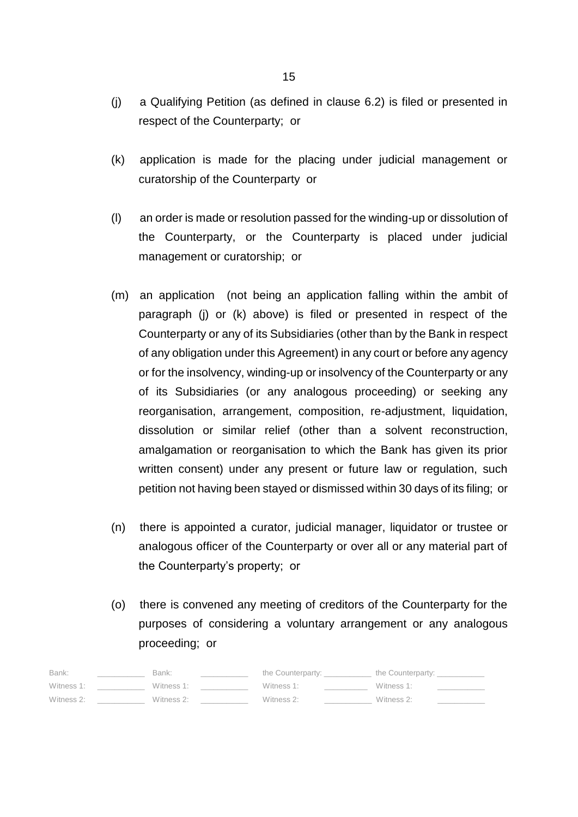- (j) a Qualifying Petition (as defined in clause 6.2) is filed or presented in respect of the Counterparty; or
- (k) application is made for the placing under judicial management or curatorship of the Counterparty or
- (l) an order is made or resolution passed for the winding-up or dissolution of the Counterparty, or the Counterparty is placed under judicial management or curatorship; or
- (m) an application (not being an application falling within the ambit of paragraph (j) or (k) above) is filed or presented in respect of the Counterparty or any of its Subsidiaries (other than by the Bank in respect of any obligation under this Agreement) in any court or before any agency or for the insolvency, winding-up or insolvency of the Counterparty or any of its Subsidiaries (or any analogous proceeding) or seeking any reorganisation, arrangement, composition, re-adjustment, liquidation, dissolution or similar relief (other than a solvent reconstruction, amalgamation or reorganisation to which the Bank has given its prior written consent) under any present or future law or regulation, such petition not having been stayed or dismissed within 30 days of its filing; or
- (n) there is appointed a curator, judicial manager, liquidator or trustee or analogous officer of the Counterparty or over all or any material part of the Counterparty's property; or
- (o) there is convened any meeting of creditors of the Counterparty for the purposes of considering a voluntary arrangement or any analogous proceeding; or

| Bank:      | Bank:      | the Counterparty: | the Counterparty: |
|------------|------------|-------------------|-------------------|
| Witness 1: | Witness 1: | Witness 1:        | Witness 1:        |
| Witness 2: | Witness 2: | Witness 2:        | Witness 2:        |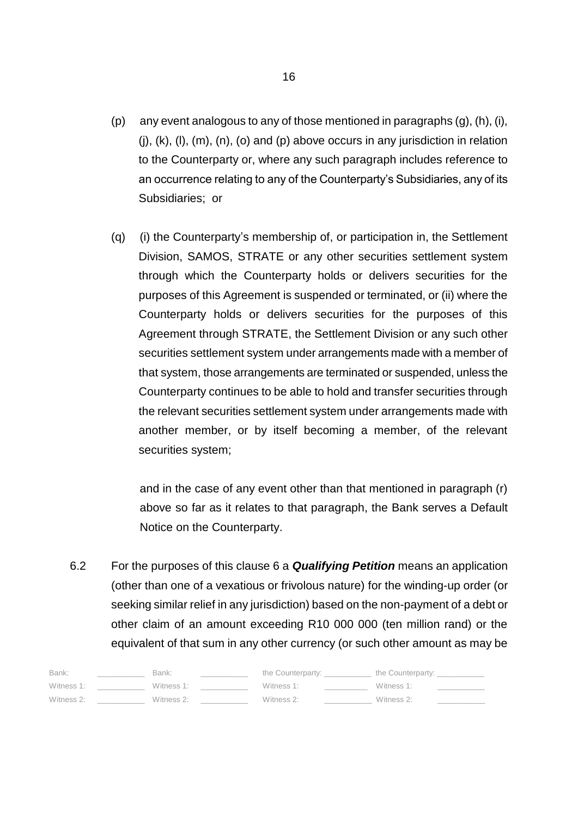- (p) any event analogous to any of those mentioned in paragraphs (g), (h), (i),  $(i)$ ,  $(k)$ ,  $(l)$ ,  $(m)$ ,  $(n)$ ,  $(o)$  and  $(p)$  above occurs in any jurisdiction in relation to the Counterparty or, where any such paragraph includes reference to an occurrence relating to any of the Counterparty's Subsidiaries, any of its Subsidiaries; or
- (q) (i) the Counterparty's membership of, or participation in, the Settlement Division, SAMOS, STRATE or any other securities settlement system through which the Counterparty holds or delivers securities for the purposes of this Agreement is suspended or terminated, or (ii) where the Counterparty holds or delivers securities for the purposes of this Agreement through STRATE, the Settlement Division or any such other securities settlement system under arrangements made with a member of that system, those arrangements are terminated or suspended, unless the Counterparty continues to be able to hold and transfer securities through the relevant securities settlement system under arrangements made with another member, or by itself becoming a member, of the relevant securities system;

and in the case of any event other than that mentioned in paragraph (r) above so far as it relates to that paragraph, the Bank serves a Default Notice on the Counterparty.

6.2 For the purposes of this clause 6 a *Qualifying Petition* means an application (other than one of a vexatious or frivolous nature) for the winding-up order (or seeking similar relief in any jurisdiction) based on the non-payment of a debt or other claim of an amount exceeding R10 000 000 (ten million rand) or the equivalent of that sum in any other currency (or such other amount as may be

| Bank:      | Bank:      | the Counterparty: | the Counterparty: |  |
|------------|------------|-------------------|-------------------|--|
| Witness 1: | Witness 1: | Witness 1:        | Witness 1:        |  |
| Witness 2: | Witness 2: | Witness 2:        | Witness 2:        |  |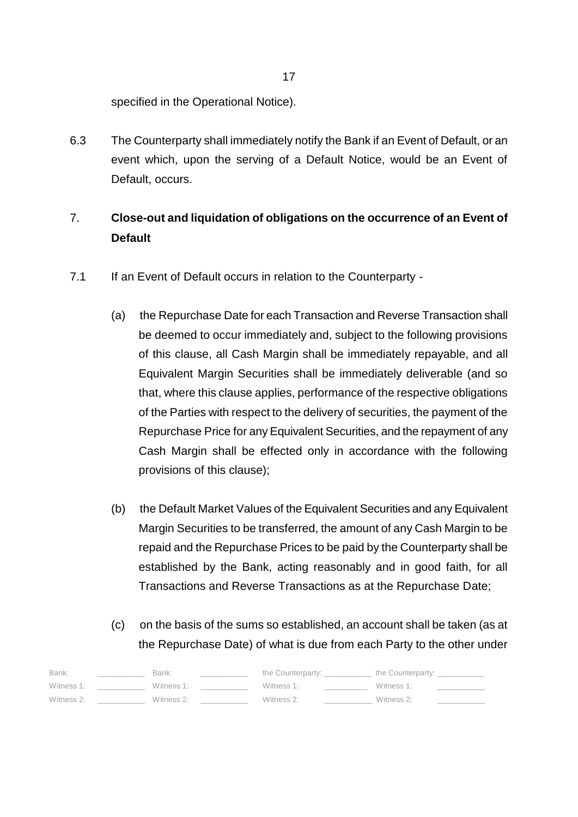specified in the Operational Notice).

6.3 The Counterparty shall immediately notify the Bank if an Event of Default, or an event which, upon the serving of a Default Notice, would be an Event of Default, occurs.

# 7. **Close-out and liquidation of obligations on the occurrence of an Event of Default**

- 7.1 If an Event of Default occurs in relation to the Counterparty -
	- (a) the Repurchase Date for each Transaction and Reverse Transaction shall be deemed to occur immediately and, subject to the following provisions of this clause, all Cash Margin shall be immediately repayable, and all Equivalent Margin Securities shall be immediately deliverable (and so that, where this clause applies, performance of the respective obligations of the Parties with respect to the delivery of securities, the payment of the Repurchase Price for any Equivalent Securities, and the repayment of any Cash Margin shall be effected only in accordance with the following provisions of this clause);
	- (b) the Default Market Values of the Equivalent Securities and any Equivalent Margin Securities to be transferred, the amount of any Cash Margin to be repaid and the Repurchase Prices to be paid by the Counterparty shall be established by the Bank, acting reasonably and in good faith, for all Transactions and Reverse Transactions as at the Repurchase Date;
	- (c) on the basis of the sums so established, an account shall be taken (as at the Repurchase Date) of what is due from each Party to the other under

| Bank:      | Bank:      | the Counterparty: | the Counterparty: |
|------------|------------|-------------------|-------------------|
| Witness 1: | Witness 1: | Witness 1:        | Witness 1:        |
| Witness 2: | Witness 2: | Witness 2:        | Witness 2:        |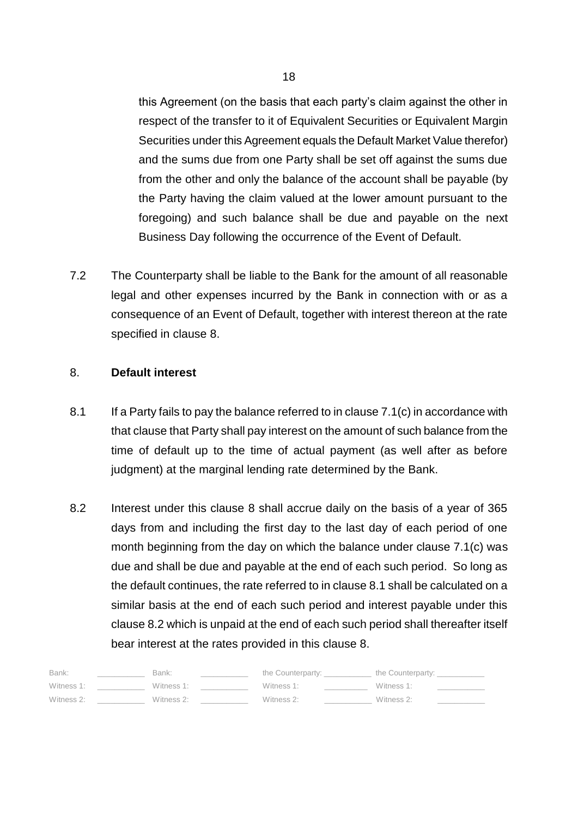this Agreement (on the basis that each party's claim against the other in respect of the transfer to it of Equivalent Securities or Equivalent Margin Securities under this Agreement equals the Default Market Value therefor) and the sums due from one Party shall be set off against the sums due from the other and only the balance of the account shall be payable (by the Party having the claim valued at the lower amount pursuant to the foregoing) and such balance shall be due and payable on the next Business Day following the occurrence of the Event of Default.

7.2 The Counterparty shall be liable to the Bank for the amount of all reasonable legal and other expenses incurred by the Bank in connection with or as a consequence of an Event of Default, together with interest thereon at the rate specified in clause 8.

## 8. **Default interest**

- 8.1 If a Party fails to pay the balance referred to in clause 7.1(c) in accordance with that clause that Party shall pay interest on the amount of such balance from the time of default up to the time of actual payment (as well after as before judgment) at the marginal lending rate determined by the Bank.
- 8.2 Interest under this clause 8 shall accrue daily on the basis of a year of 365 days from and including the first day to the last day of each period of one month beginning from the day on which the balance under clause 7.1(c) was due and shall be due and payable at the end of each such period. So long as the default continues, the rate referred to in clause 8.1 shall be calculated on a similar basis at the end of each such period and interest payable under this clause 8.2 which is unpaid at the end of each such period shall thereafter itself bear interest at the rates provided in this clause 8.

| Bank:      | Bank:      | the Counterparty: | the Counterparty: |  |
|------------|------------|-------------------|-------------------|--|
| Witness 1: | Witness 1: | Witness 1:        | Witness 1:        |  |
| Witness 2: | Witness 2: | Witness 2:        | Witness 2:        |  |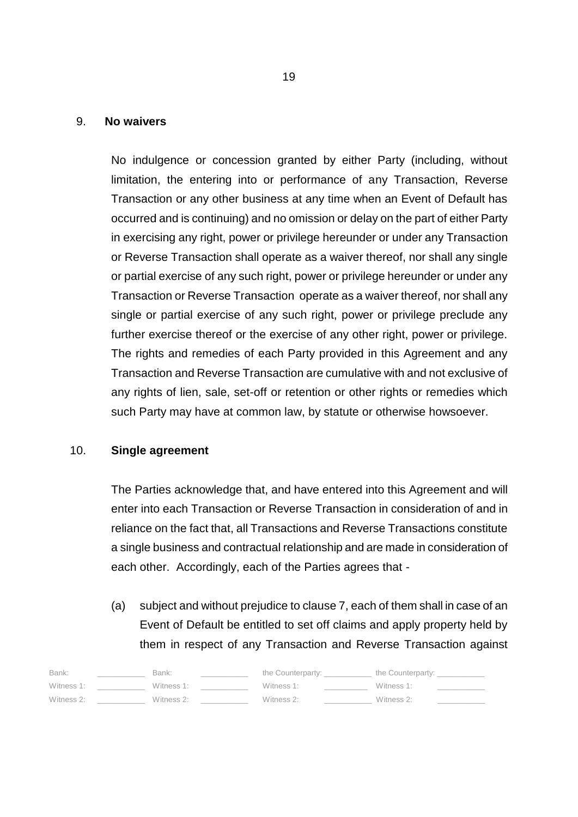#### 9. **No waivers**

No indulgence or concession granted by either Party (including, without limitation, the entering into or performance of any Transaction, Reverse Transaction or any other business at any time when an Event of Default has occurred and is continuing) and no omission or delay on the part of either Party in exercising any right, power or privilege hereunder or under any Transaction or Reverse Transaction shall operate as a waiver thereof, nor shall any single or partial exercise of any such right, power or privilege hereunder or under any Transaction or Reverse Transaction operate as a waiver thereof, nor shall any single or partial exercise of any such right, power or privilege preclude any further exercise thereof or the exercise of any other right, power or privilege. The rights and remedies of each Party provided in this Agreement and any Transaction and Reverse Transaction are cumulative with and not exclusive of any rights of lien, sale, set-off or retention or other rights or remedies which such Party may have at common law, by statute or otherwise howsoever.

#### 10. **Single agreement**

The Parties acknowledge that, and have entered into this Agreement and will enter into each Transaction or Reverse Transaction in consideration of and in reliance on the fact that, all Transactions and Reverse Transactions constitute a single business and contractual relationship and are made in consideration of each other. Accordingly, each of the Parties agrees that -

(a) subject and without prejudice to clause 7, each of them shall in case of an Event of Default be entitled to set off claims and apply property held by them in respect of any Transaction and Reverse Transaction against

| Bank:      | Bank:      | the Counterparty: | the Counterparty: |  |
|------------|------------|-------------------|-------------------|--|
| Witness 1: | Witness 1: | Witness 1:        | Witness 1:        |  |
| Witness 2: | Witness 2: | Witness 2:        | Witness 2:        |  |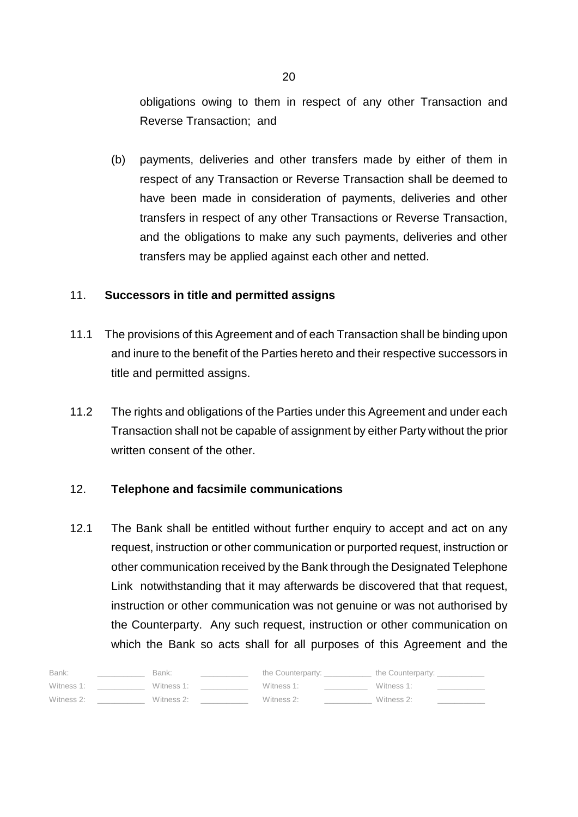obligations owing to them in respect of any other Transaction and Reverse Transaction; and

(b) payments, deliveries and other transfers made by either of them in respect of any Transaction or Reverse Transaction shall be deemed to have been made in consideration of payments, deliveries and other transfers in respect of any other Transactions or Reverse Transaction, and the obligations to make any such payments, deliveries and other transfers may be applied against each other and netted.

#### 11. **Successors in title and permitted assigns**

- 11.1 The provisions of this Agreement and of each Transaction shall be binding upon and inure to the benefit of the Parties hereto and their respective successors in title and permitted assigns.
- 11.2 The rights and obligations of the Parties under this Agreement and under each Transaction shall not be capable of assignment by either Party without the prior written consent of the other.

#### 12. **Telephone and facsimile communications**

12.1 The Bank shall be entitled without further enquiry to accept and act on any request, instruction or other communication or purported request, instruction or other communication received by the Bank through the Designated Telephone Link notwithstanding that it may afterwards be discovered that that request, instruction or other communication was not genuine or was not authorised by the Counterparty. Any such request, instruction or other communication on which the Bank so acts shall for all purposes of this Agreement and the

| Bank:      | Bank:      | the Counterparty: | the Counterparty: |  |
|------------|------------|-------------------|-------------------|--|
| Witness 1: | Witness 1: | Witness 1:        | Witness 1:        |  |
| Witness 2: | Witness 2: | Witness 2:        | Witness 2:        |  |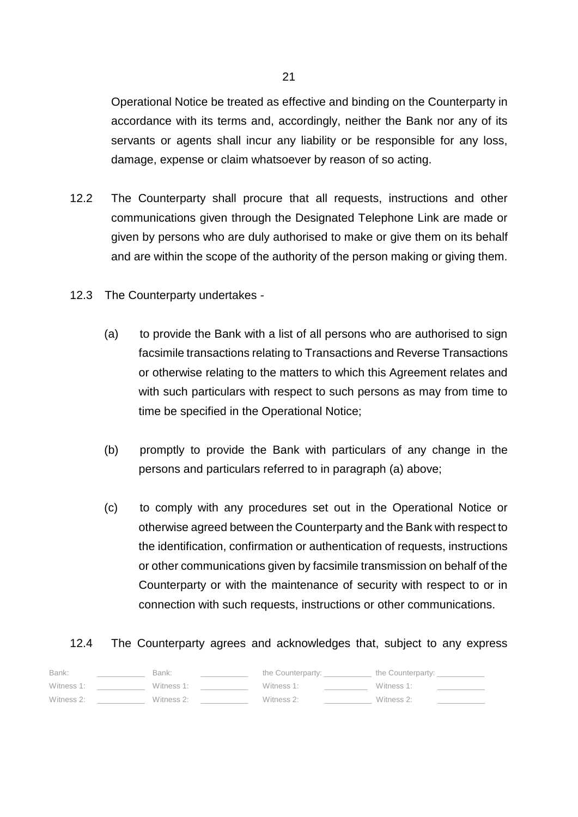Operational Notice be treated as effective and binding on the Counterparty in accordance with its terms and, accordingly, neither the Bank nor any of its servants or agents shall incur any liability or be responsible for any loss, damage, expense or claim whatsoever by reason of so acting.

- 12.2 The Counterparty shall procure that all requests, instructions and other communications given through the Designated Telephone Link are made or given by persons who are duly authorised to make or give them on its behalf and are within the scope of the authority of the person making or giving them.
- 12.3 The Counterparty undertakes
	- (a) to provide the Bank with a list of all persons who are authorised to sign facsimile transactions relating to Transactions and Reverse Transactions or otherwise relating to the matters to which this Agreement relates and with such particulars with respect to such persons as may from time to time be specified in the Operational Notice;
	- (b) promptly to provide the Bank with particulars of any change in the persons and particulars referred to in paragraph (a) above;
	- (c) to comply with any procedures set out in the Operational Notice or otherwise agreed between the Counterparty and the Bank with respect to the identification, confirmation or authentication of requests, instructions or other communications given by facsimile transmission on behalf of the Counterparty or with the maintenance of security with respect to or in connection with such requests, instructions or other communications.

# 12.4 The Counterparty agrees and acknowledges that, subject to any express

| Bank:      | Bank:      | the Counterparty: | the Counterparty: |  |
|------------|------------|-------------------|-------------------|--|
| Witness 1: | Witness 1: | Witness 1:        | Witness 1:        |  |
| Witness 2: | Witness 2: | Witness 2:        | Witness 2:        |  |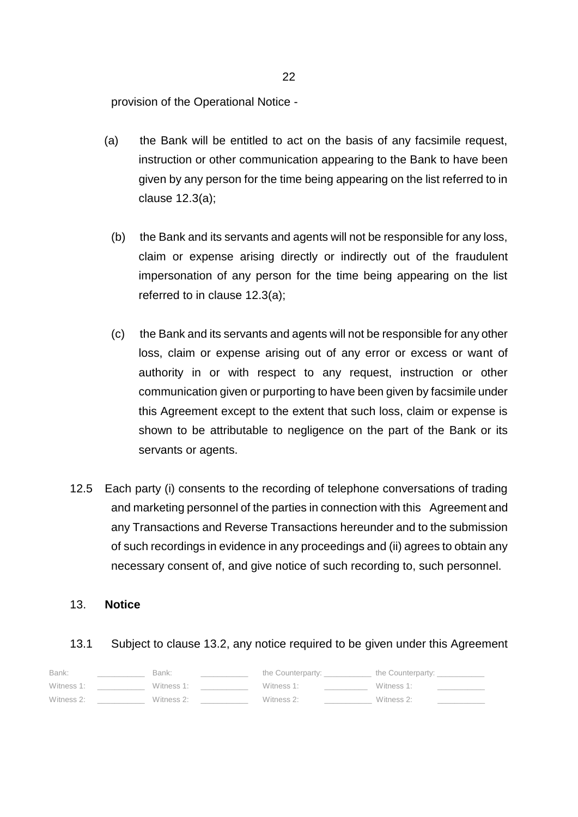provision of the Operational Notice -

- (a) the Bank will be entitled to act on the basis of any facsimile request, instruction or other communication appearing to the Bank to have been given by any person for the time being appearing on the list referred to in clause 12.3(a);
	- (b) the Bank and its servants and agents will not be responsible for any loss, claim or expense arising directly or indirectly out of the fraudulent impersonation of any person for the time being appearing on the list referred to in clause 12.3(a);
	- (c) the Bank and its servants and agents will not be responsible for any other loss, claim or expense arising out of any error or excess or want of authority in or with respect to any request, instruction or other communication given or purporting to have been given by facsimile under this Agreement except to the extent that such loss, claim or expense is shown to be attributable to negligence on the part of the Bank or its servants or agents.
- 12.5 Each party (i) consents to the recording of telephone conversations of trading and marketing personnel of the parties in connection with this Agreement and any Transactions and Reverse Transactions hereunder and to the submission of such recordings in evidence in any proceedings and (ii) agrees to obtain any necessary consent of, and give notice of such recording to, such personnel.

#### 13. **Notice**

#### 13.1 Subject to clause 13.2, any notice required to be given under this Agreement

| Bank:      | Bank:      | the Counterparty: | the Counterparty: |  |
|------------|------------|-------------------|-------------------|--|
| Witness 1: | Witness 1: | Witness 1:        | Witness 1:        |  |
| Witness 2: | Witness 2: | Witness 2:        | Witness 2:        |  |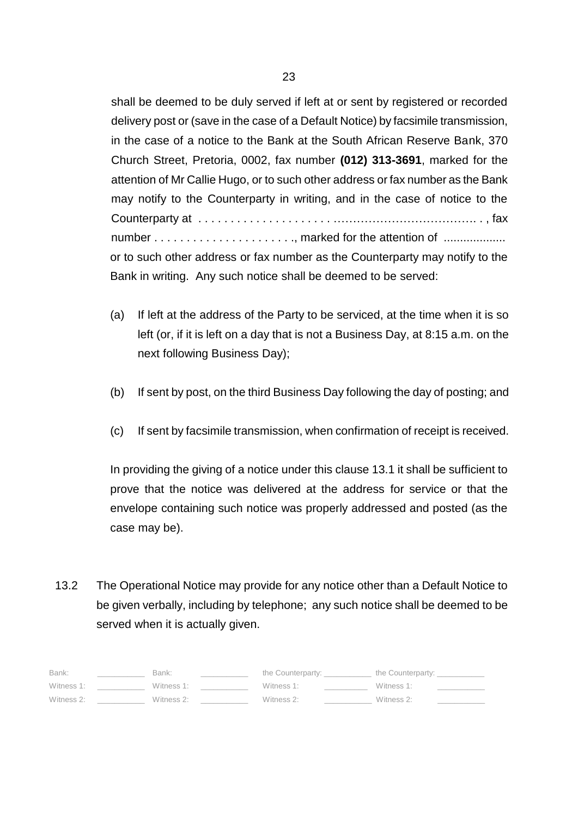shall be deemed to be duly served if left at or sent by registered or recorded delivery post or (save in the case of a Default Notice) by facsimile transmission, in the case of a notice to the Bank at the South African Reserve Bank, 370 Church Street, Pretoria, 0002, fax number **(012) 313-3691**, marked for the attention of Mr Callie Hugo, or to such other address or fax number as the Bank may notify to the Counterparty in writing, and in the case of notice to the Counterparty at . . . . . . . . . . . . . . . . . . . . . ………………………………. . , fax number . . . . . . . . . . . . . . . . . . . . . ., marked for the attention of ................... or to such other address or fax number as the Counterparty may notify to the Bank in writing. Any such notice shall be deemed to be served:

- (a) If left at the address of the Party to be serviced, at the time when it is so left (or, if it is left on a day that is not a Business Day, at 8:15 a.m. on the next following Business Day);
- (b) If sent by post, on the third Business Day following the day of posting; and
- (c) If sent by facsimile transmission, when confirmation of receipt is received.

In providing the giving of a notice under this clause 13.1 it shall be sufficient to prove that the notice was delivered at the address for service or that the envelope containing such notice was properly addressed and posted (as the case may be).

13.2 The Operational Notice may provide for any notice other than a Default Notice to be given verbally, including by telephone; any such notice shall be deemed to be served when it is actually given.

| Bank:      | Bank:      | the Counterparty: | the Counterparty: |
|------------|------------|-------------------|-------------------|
| Witness 1: | Witness 1: | Witness 1:        | Witness 1:        |
| Witness 2: | Witness 2: | Witness 2:        | Witness 2:        |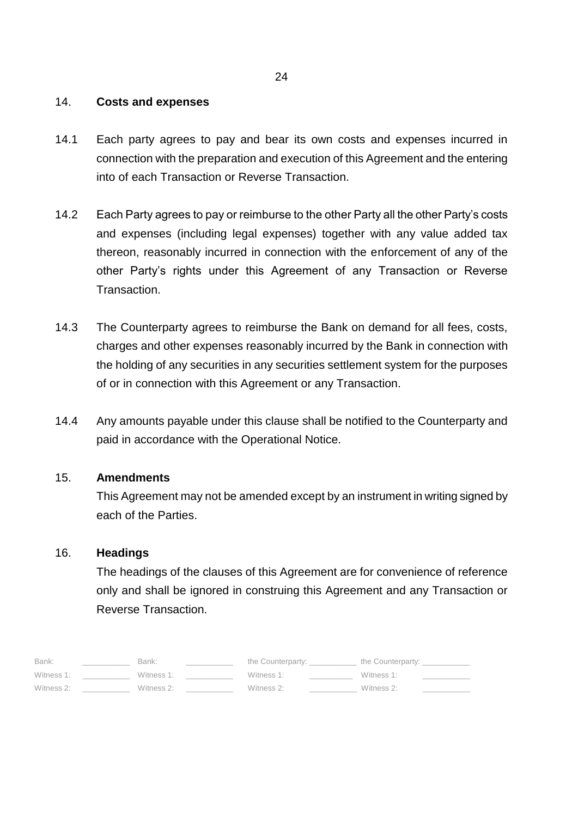## 14. **Costs and expenses**

- 14.1 Each party agrees to pay and bear its own costs and expenses incurred in connection with the preparation and execution of this Agreement and the entering into of each Transaction or Reverse Transaction.
- 14.2 Each Party agrees to pay or reimburse to the other Party all the other Party's costs and expenses (including legal expenses) together with any value added tax thereon, reasonably incurred in connection with the enforcement of any of the other Party's rights under this Agreement of any Transaction or Reverse Transaction.
- 14.3 The Counterparty agrees to reimburse the Bank on demand for all fees, costs, charges and other expenses reasonably incurred by the Bank in connection with the holding of any securities in any securities settlement system for the purposes of or in connection with this Agreement or any Transaction.
- 14.4 Any amounts payable under this clause shall be notified to the Counterparty and paid in accordance with the Operational Notice.

#### 15. **Amendments**

This Agreement may not be amended except by an instrument in writing signed by each of the Parties.

#### 16. **Headings**

The headings of the clauses of this Agreement are for convenience of reference only and shall be ignored in construing this Agreement and any Transaction or Reverse Transaction.

| Bank:      | Bank:      | the Counterparty: | the Counterparty: |  |
|------------|------------|-------------------|-------------------|--|
| Witness 1: | Witness 1: | Witness 1:        | Witness 1:        |  |
| Witness 2: | Witness 2: | Witness 2:        | Witness 2:        |  |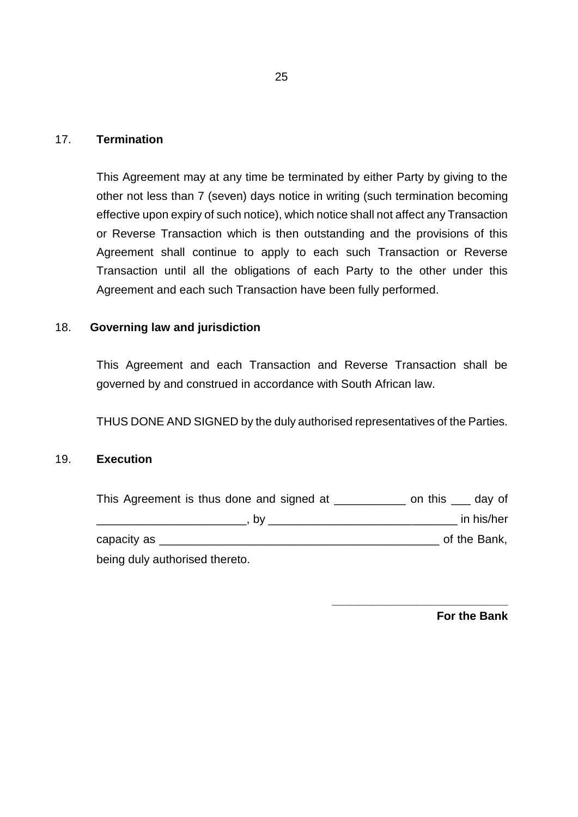# 17. **Termination**

This Agreement may at any time be terminated by either Party by giving to the other not less than 7 (seven) days notice in writing (such termination becoming effective upon expiry of such notice), which notice shall not affect any Transaction or Reverse Transaction which is then outstanding and the provisions of this Agreement shall continue to apply to each such Transaction or Reverse Transaction until all the obligations of each Party to the other under this Agreement and each such Transaction have been fully performed.

# 18. **Governing law and jurisdiction**

This Agreement and each Transaction and Reverse Transaction shall be governed by and construed in accordance with South African law.

THUS DONE AND SIGNED by the duly authorised representatives of the Parties.

# 19. **Execution**

| This Agreement is thus done and signed at | on this ____ day of |
|-------------------------------------------|---------------------|
| . bv                                      | in his/her          |
| capacity as _                             | of the Bank,        |
| being duly authorised thereto.            |                     |

**For the Bank**

**\_\_\_\_\_\_\_\_\_\_\_\_\_\_\_\_\_\_\_\_\_\_\_\_\_\_\_**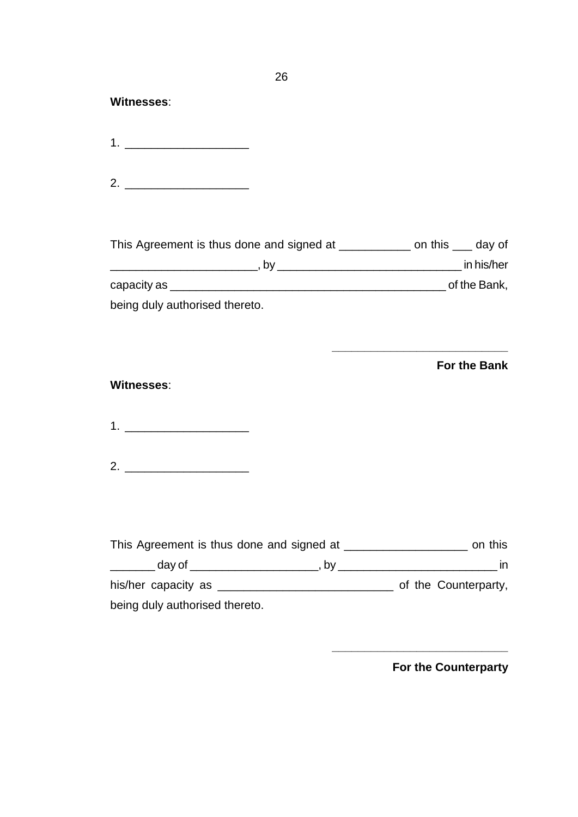## **Witnesses**:

1.  $\blacksquare$ 

2.

This Agreement is thus done and signed at \_\_\_\_\_\_\_\_\_\_\_ on this \_\_\_ day of \_\_\_\_\_\_\_\_\_\_\_\_\_\_\_\_\_\_\_\_\_\_\_, by \_\_\_\_\_\_\_\_\_\_\_\_\_\_\_\_\_\_\_\_\_\_\_\_\_\_\_\_\_ in his/her capacity as \_\_\_\_\_\_\_\_\_\_\_\_\_\_\_\_\_\_\_\_\_\_\_\_\_\_\_\_\_\_\_\_\_\_\_\_\_\_\_\_\_\_\_ of the Bank,

being duly authorised thereto.

**For the Bank**

**\_\_\_\_\_\_\_\_\_\_\_\_\_\_\_\_\_\_\_\_\_\_\_\_\_\_\_**

#### **Witnesses**:

1. \_\_\_\_\_\_\_\_\_\_\_\_\_\_\_\_\_\_\_

2. \_\_\_\_\_\_\_\_\_\_\_\_\_\_\_\_\_\_\_

This Agreement is thus done and signed at \_\_\_\_\_\_\_\_\_\_\_\_\_\_\_\_\_\_\_\_\_\_\_\_ on this \_\_\_\_\_\_\_ day of \_\_\_\_\_\_\_\_\_\_\_\_\_\_\_\_\_\_\_\_, by \_\_\_\_\_\_\_\_\_\_\_\_\_\_\_\_\_\_\_\_\_\_\_\_\_ in his/her capacity as \_\_\_\_\_\_\_\_\_\_\_\_\_\_\_\_\_\_\_\_\_\_\_\_\_\_\_ of the Counterparty, being duly authorised thereto.

**For the Counterparty**

**\_\_\_\_\_\_\_\_\_\_\_\_\_\_\_\_\_\_\_\_\_\_\_\_\_\_\_**